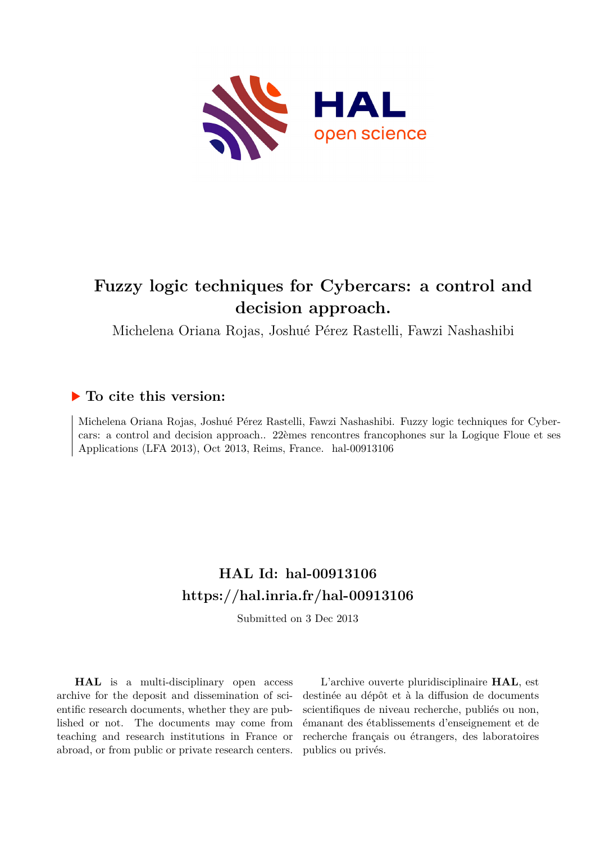

# **Fuzzy logic techniques for Cybercars: a control and decision approach.**

Michelena Oriana Rojas, Joshué Pérez Rastelli, Fawzi Nashashibi

# **To cite this version:**

Michelena Oriana Rojas, Joshué Pérez Rastelli, Fawzi Nashashibi. Fuzzy logic techniques for Cybercars: a control and decision approach.. 22èmes rencontres francophones sur la Logique Floue et ses Applications (LFA 2013), Oct 2013, Reims, France. hal-00913106

# **HAL Id: hal-00913106 <https://hal.inria.fr/hal-00913106>**

Submitted on 3 Dec 2013

**HAL** is a multi-disciplinary open access archive for the deposit and dissemination of scientific research documents, whether they are published or not. The documents may come from teaching and research institutions in France or abroad, or from public or private research centers.

L'archive ouverte pluridisciplinaire **HAL**, est destinée au dépôt et à la diffusion de documents scientifiques de niveau recherche, publiés ou non, émanant des établissements d'enseignement et de recherche français ou étrangers, des laboratoires publics ou privés.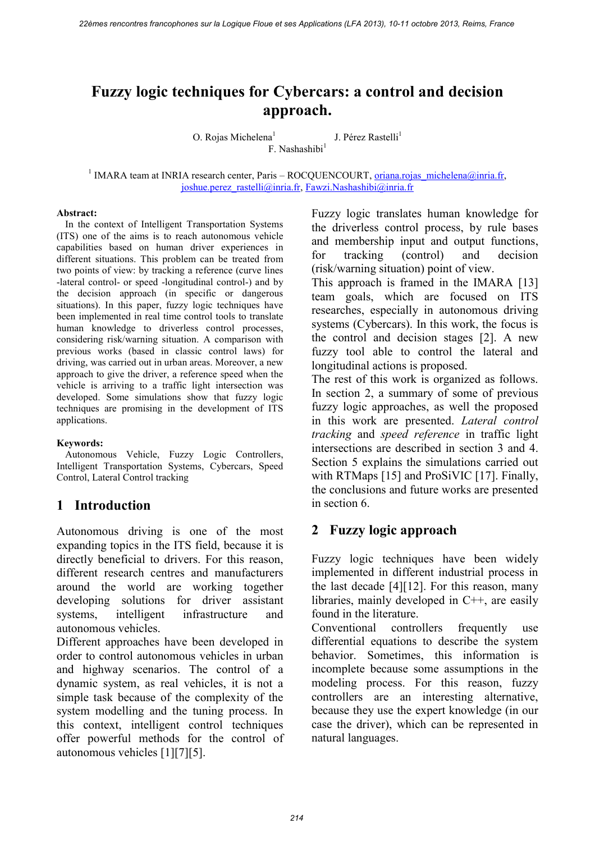# **Fuzzy logic techniques for Cybercars: a control and decision approach.**

O. Rojas Michelena<sup>1</sup> J. Pérez Rastelli<sup>1</sup> F. Nashashibi<sup>1</sup>

<sup>1</sup> IMARA team at INRIA research center, Paris – ROCQUENCOURT, <u>oriana.rojas\_michelena@inria.fr</u>, [joshue.perez\\_rastelli@inria.fr,](mailto:joshue.perez_rastelli@inria.fr) Fawzi.Nashashibi@inria.fr

#### **Abstract:**

In the context of Intelligent Transportation Systems (ITS) one of the aims is to reach autonomous vehicle capabilities based on human driver experiences in different situations. This problem can be treated from two points of view: by tracking a reference (curve lines -lateral control- or speed -longitudinal control-) and by the decision approach (in specific or dangerous situations). In this paper, fuzzy logic techniques have been implemented in real time control tools to translate human knowledge to driverless control processes, considering risk/warning situation. A comparison with previous works (based in classic control laws) for driving, was carried out in urban areas. Moreover, a new approach to give the driver, a reference speed when the vehicle is arriving to a traffic light intersection was developed. Some simulations show that fuzzy logic techniques are promising in the development of ITS applications.

#### **Keywords:**

Autonomous Vehicle, Fuzzy Logic Controllers, Intelligent Transportation Systems, Cybercars, Speed Control, Lateral Control tracking

#### **1 Introduction**

Autonomous driving is one of the most expanding topics in the ITS field, because it is directly beneficial to drivers. For this reason, different research centres and manufacturers around the world are working together developing solutions for driver assistant systems, intelligent infrastructure and autonomous vehicles.

Different approaches have been developed in order to control autonomous vehicles in urban and highway scenarios. The control of a dynamic system, as real vehicles, it is not a simple task because of the complexity of the system modelling and the tuning process. In this context, intelligent control techniques offer powerful methods for the control of autonomous vehicles [\[1\]\[7\]](#page-6-0)[\[5\].](#page-6-1)

Fuzzy logic translates human knowledge for the driverless control process, by rule bases and membership input and output functions, for tracking (control) and decision (risk/warning situation) point of view.

This approach is framed in the IMARA [\[13\]](#page-6-2)  team goals, which are focused on ITS researches, especially in autonomous driving systems (Cybercars). In this work, the focus is the control and decision stages [\[2\].](#page-6-3) A new fuzzy tool able to control the lateral and longitudinal actions is proposed.

The rest of this work is organized as follows. In section [2,](#page-1-0) a summary of some of previous fuzzy logic approaches, as well the proposed in this work are presented. *Lateral control tracking* and *speed reference* in traffic light intersections are described in section [3](#page-2-0) and [4.](#page-3-0) Section [5](#page-4-0) explains the simulations carried out with RTMaps [\[15\]](#page-6-4) and ProSiVIC [\[17\].](#page-6-5) Finally, the conclusions and future works are presented in section [6.](#page-6-6)

## <span id="page-1-0"></span>**2 Fuzzy logic approach**

Fuzzy logic techniques have been widely implemented in different industrial process in the last decade [\[4\]\[12\].](#page-6-7) For this reason, many libraries, mainly developed in C++, are easily found in the literature.

Conventional controllers frequently use differential equations to describe the system behavior. Sometimes, this information is incomplete because some assumptions in the modeling process. For this reason, fuzzy controllers are an interesting alternative, because they use the expert knowledge (in our case the driver), which can be represented in natural languages.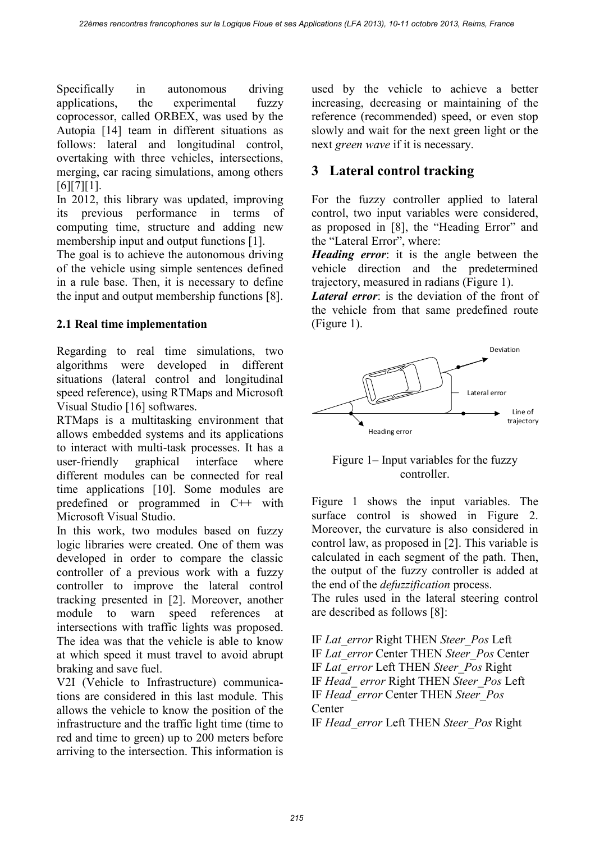Specifically in autonomous driving applications, the experimental fuzzy coprocessor, called ORBEX, was used by the Autopia [\[14\]](#page-6-8) team in different situations as follows: lateral and longitudinal control, overtaking with three vehicles, intersections, merging, car racing simulations, among others  $[6][7][1]$  $[6][7][1]$ .

In 2012, this library was updated, improving its previous performance in terms of computing time, structure and adding new membership input and output functions [\[1\].](#page-6-0)

The goal is to achieve the autonomous driving of the vehicle using simple sentences defined in a rule base. Then, it is necessary to define the input and output membership functions [\[8\].](#page-6-10)

### **2.1 Real time implementation**

Regarding to real time simulations, two algorithms were developed in different situations (lateral control and longitudinal speed reference), using RTMaps and Microsoft Visual Studio [\[16\]](#page-6-11) softwares.

RTMaps is a multitasking environment that allows embedded systems and its applications to interact with multi-task processes. It has a user-friendly graphical interface where different modules can be connected for real time applications [\[10\].](#page-6-12) Some modules are predefined or programmed in C++ with Microsoft Visual Studio.

In this work, two modules based on fuzzy logic libraries were created. One of them was developed in order to compare the classic controller of a previous work with a fuzzy controller to improve the lateral control tracking presented in [\[2\].](#page-6-3) Moreover, another module to warn speed references at intersections with traffic lights was proposed. The idea was that the vehicle is able to know at which speed it must travel to avoid abrupt braking and save fuel.

V2I (Vehicle to Infrastructure) communications are considered in this last module. This allows the vehicle to know the position of the infrastructure and the traffic light time (time to red and time to green) up to 200 meters before arriving to the intersection. This information is used by the vehicle to achieve a better increasing, decreasing or maintaining of the reference (recommended) speed, or even stop slowly and wait for the next green light or the next *green wave* if it is necessary.

# <span id="page-2-0"></span>**3 Lateral control tracking**

For the fuzzy controller applied to lateral control, two input variables were considered, as proposed in [\[8\]](#page-6-10), the "Heading Error" and the "Lateral Error", where:

*Heading error*: it is the angle between the vehicle direction and the predetermined trajectory, measured in radians [\(Figure 1\)](#page-2-1).

*Lateral error*: is the deviation of the front of the vehicle from that same predefined route [\(Figure 1\)](#page-2-1).



#### <span id="page-2-1"></span>Figure 1– Input variables for the fuzzy controller.

[Figure 1](#page-2-1) shows the input variables. The surface control is showed in [Figure 2.](#page-3-1) Moreover, the curvature is also considered in control law, as proposed in [\[2\].](#page-6-3) This variable is calculated in each segment of the path. Then, the output of the fuzzy controller is added at the end of the *defuzzification* process. The rules used in the lateral steering control

are described as follows [\[8\]:](#page-6-10)

IF *Lat\_error* Right THEN *Steer\_Pos* Left IF *Lat\_error* Center THEN *Steer\_Pos* Center IF *Lat\_error* Left THEN *Steer\_Pos* Right IF *Head\_ error* Right THEN *Steer\_Pos* Left IF *Head\_error* Center THEN *Steer\_Pos* **Center** 

IF *Head\_error* Left THEN *Steer\_Pos* Right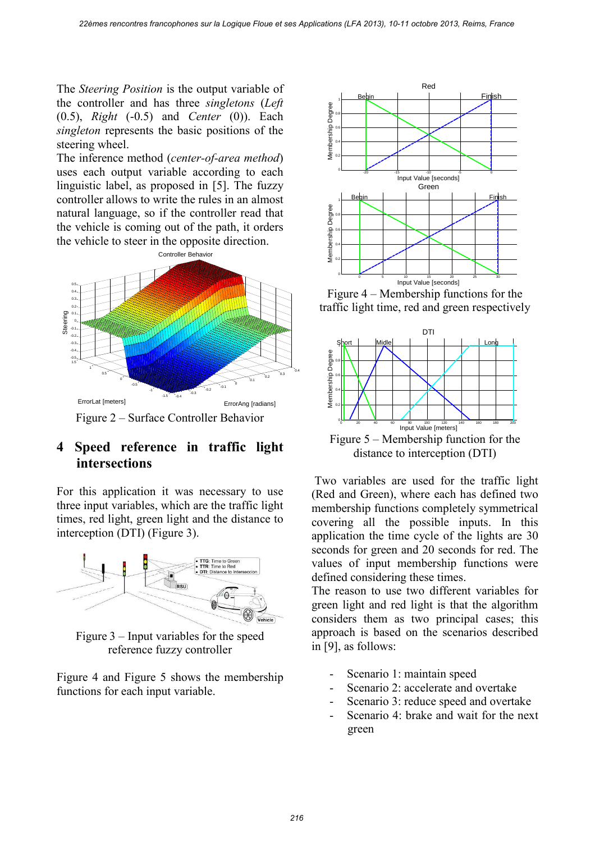The *Steering Position* is the output variable of the controller and has three *singletons* (*Left* (0.5), *Right* (-0.5) and *Center* (0)). Each *singleton* represents the basic positions of the steering wheel.

The inference method (*center-of-area method*) uses each output variable according to each linguistic label, as proposed in [\[5\].](#page-6-1) The fuzzy controller allows to write the rules in an almost natural language, so if the controller read that the vehicle is coming out of the path, it orders the vehicle to steer in the opposite direction.



# <span id="page-3-1"></span><span id="page-3-0"></span>**4 Speed reference in traffic light intersections**

For this application it was necessary to use three input variables, which are the traffic light times, red light, green light and the distance to interception (DTI) [\(Figure 3\)](#page-3-2).



<span id="page-3-2"></span>Figure 3 – Input variables for the speed reference fuzzy controller

[Figure 4](#page-3-3) and [Figure 5](#page-3-4) shows the membership functions for each input variable.



<span id="page-3-3"></span>Figure 4 – Membership functions for the traffic light time, red and green respectively



distance to interception (DTI)

<span id="page-3-4"></span> Two variables are used for the traffic light (Red and Green), where each has defined two membership functions completely symmetrical covering all the possible inputs. In this application the time cycle of the lights are 30 seconds for green and 20 seconds for red. The values of input membership functions were defined considering these times.

The reason to use two different variables for green light and red light is that the algorithm considers them as two principal cases; this approach is based on the scenarios described in [\[9\],](#page-6-13) as follows:

- Scenario 1: maintain speed
- Scenario 2: accelerate and overtake
- Scenario 3: reduce speed and overtake
- Scenario 4: brake and wait for the next green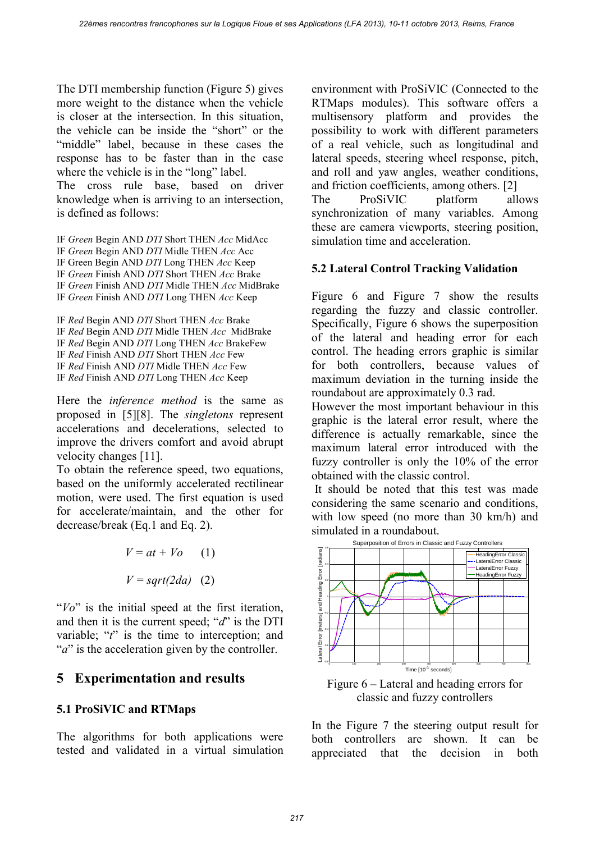The DTI membership function [\(Figure 5\)](#page-3-4) gives more weight to the distance when the vehicle is closer at the intersection. In this situation, the vehicle can be inside the "short" or the "middle" label, because in these cases the response has to be faster than in the case where the vehicle is in the "long" label. The cross rule base, based on driver

knowledge when is arriving to an intersection, is defined as follows:

IF *Green* Begin AND *DTI* Short THEN *Acc* MidAcc IF *Green* Begin AND *DTI* Midle THEN *Acc* Acc IF Green Begin AND *DTI* Long THEN *Acc* Keep IF *Green* Finish AND *DTI* Short THEN *Acc* Brake IF *Green* Finish AND *DTI* Midle THEN *Acc* MidBrake IF *Green* Finish AND *DTI* Long THEN *Acc* Keep

IF *Red* Begin AND *DTI* Short THEN *Acc* Brake IF *Red* Begin AND *DTI* Midle THEN *Acc* MidBrake IF *Red* Begin AND *DTI* Long THEN *Acc* BrakeFew IF *Red* Finish AND *DTI* Short THEN *Acc* Few IF *Red* Finish AND *DTI* Midle THEN *Acc* Few IF *Red* Finish AND *DTI* Long THEN *Acc* Keep

Here the *inference method* is the same as proposed in [\[5\]\[8\].](#page-6-1) The *singletons* represent accelerations and decelerations, selected to improve the drivers comfort and avoid abrupt velocity changes [\[11\].](#page-6-14)

To obtain the reference speed, two equations, based on the uniformly accelerated rectilinear motion, were used. The first equation is used for accelerate/maintain, and the other for decrease/break (Eq.1 and Eq. 2).

$$
V = at + Vo \t(1)
$$

$$
V = sqrt(2da) \t(2)
$$

"*Vo*" is the initial speed at the first iteration, and then it is the current speed; "*d*" is the DTI variable; "*t*" is the time to interception; and "*a*" is the acceleration given by the controller.

## <span id="page-4-0"></span>**5 Experimentation and results**

#### **5.1 ProSiVIC and RTMaps**

The algorithms for both applications were tested and validated in a virtual simulation environment with ProSiVIC (Connected to the RTMaps modules). This software offers a multisensory platform and provides the possibility to work with different parameters of a real vehicle, such as longitudinal and lateral speeds, steering wheel response, pitch, and roll and yaw angles, weather conditions, and friction coefficients, among others. [\[2\]](#page-6-3) 

The ProSiVIC platform allows synchronization of many variables. Among these are camera viewports, steering position, simulation time and acceleration.

#### **5.2 Lateral Control Tracking Validation**

[Figure 6](#page-4-1) and [Figure 7](#page-5-0) show the results regarding the fuzzy and classic controller. Specifically, [Figure 6](#page-4-1) shows the superposition of the lateral and heading error for each control. The heading errors graphic is similar for both controllers, because values of maximum deviation in the turning inside the roundabout are approximately 0.3 rad.

However the most important behaviour in this graphic is the lateral error result, where the difference is actually remarkable, since the maximum lateral error introduced with the fuzzy controller is only the 10% of the error obtained with the classic control.

 It should be noted that this test was made considering the same scenario and conditions, with low speed (no more than 30 km/h) and simulated in a roundabout.



<span id="page-4-1"></span>classic and fuzzy controllers

In the [Figure 7](#page-5-0) the steering output result for both controllers are shown. It can be appreciated that the decision in both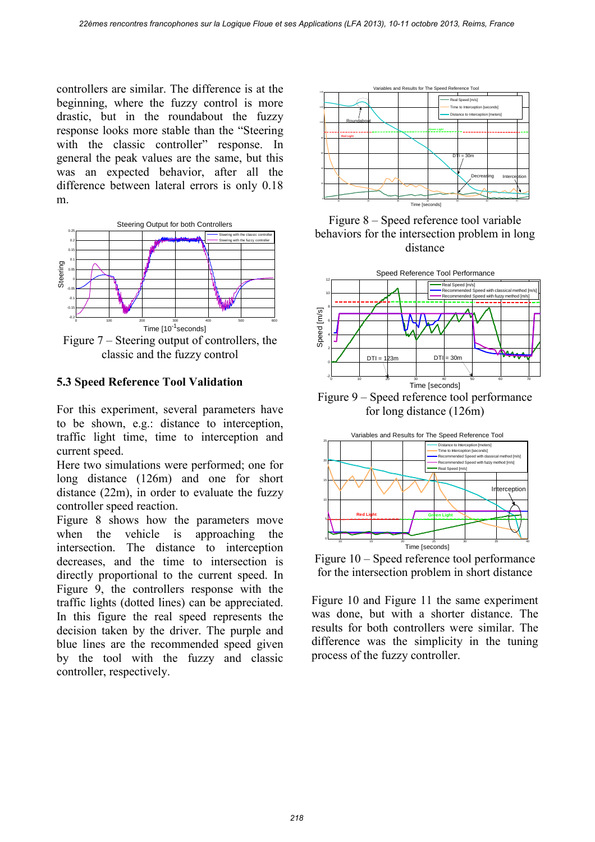controllers are similar. The difference is at the beginning, where the fuzzy control is more drastic, but in the roundabout the fuzzy response looks more stable than the "Steering with the classic controller" response. In general the peak values are the same, but this was an expected behavior, after all the difference between lateral errors is only 0.18 m.



classic and the fuzzy control

#### <span id="page-5-0"></span>**5.3 Speed Reference Tool Validation**

For this experiment, several parameters have to be shown, e.g.: distance to interception, traffic light time, time to interception and current speed.

Here two simulations were performed; one for long distance (126m) and one for short distance (22m), in order to evaluate the fuzzy controller speed reaction.

[Figure 8](#page-5-1) shows how the parameters move when the vehicle is approaching the intersection. The distance to interception decreases, and the time to intersection is directly proportional to the current speed. In [Figure 9,](#page-5-2) the controllers response with the traffic lights (dotted lines) can be appreciated. In this figure the real speed represents the decision taken by the driver. The purple and blue lines are the recommended speed given by the tool with the fuzzy and classic controller, respectively.



<span id="page-5-1"></span>



<span id="page-5-2"></span>Figure 9 – Speed reference tool performance for long distance (126m)



<span id="page-5-3"></span>Figure 10 – Speed reference tool performance for the intersection problem in short distance

[Figure 10](#page-5-3) and [Figure 11](#page-6-15) the same experiment was done, but with a shorter distance. The results for both controllers were similar. The difference was the simplicity in the tuning process of the fuzzy controller.